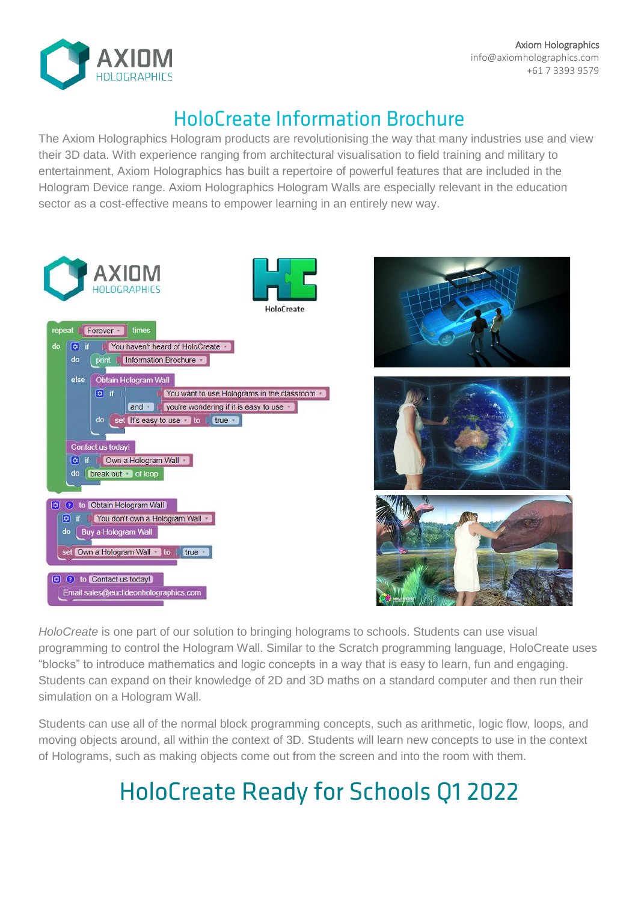

Axiom Holographics info@axiomholographics.com +61 7 3393 9579

## **HoloCreate Information Brochure**

The Axiom Holographics Hologram products are revolutionising the way that many industries use and view their 3D data. With experience ranging from architectural visualisation to field training and military to entertainment, Axiom Holographics has built a repertoire of powerful features that are included in the Hologram Device range. Axiom Holographics Hologram Walls are especially relevant in the education sector as a cost-effective means to empower learning in an entirely new way.



HoloCreate is one part of our solution to bringing holograms to schools. Students can use visual programming to control the Hologram Wall. Similar to the Scratch programming language, HoloCreate uses "blocks" to introduce mathematics and logic concepts in a way that is easy to learn, fun and engaging. Students can expand on their knowledge of 2D and 3D maths on a standard computer and then run their simulation on a Hologram Wall.

Students can use all of the normal block programming concepts, such as arithmetic, logic flow, loops, and moving objects around, all within the context of 3D. Students will learn new concepts to use in the context of Holograms, such as making objects come out from the screen and into the room with them.

## **HoloCreate Ready for Schools Q1 2022**